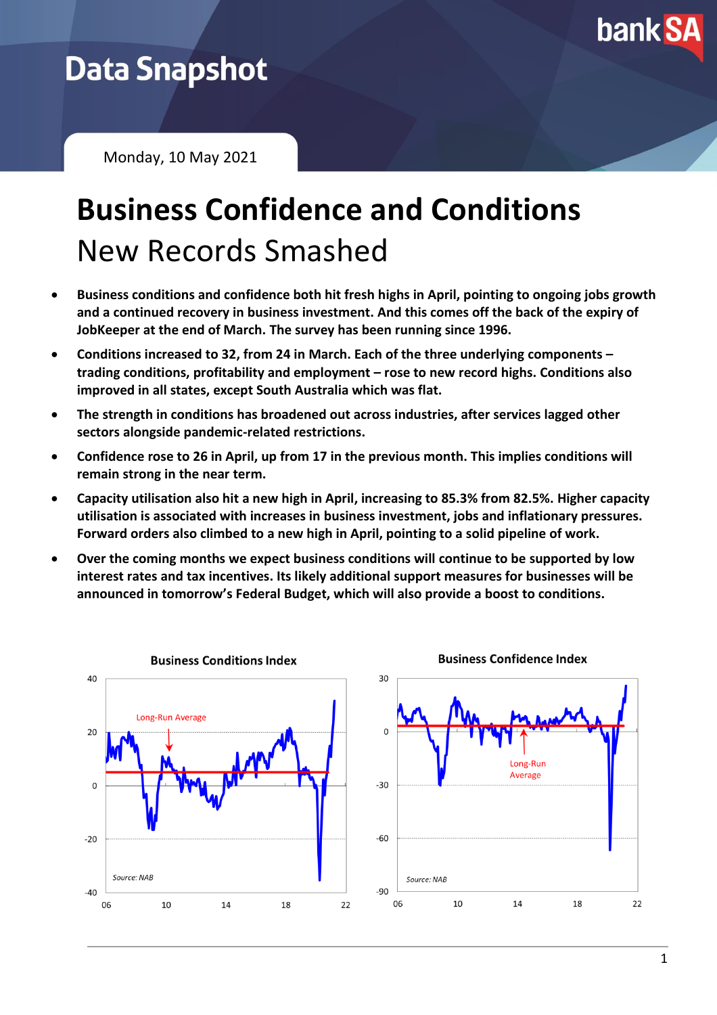

## **Data Snapshot**

Monday, 10 May 2021

# **Business Confidence and Conditions** New Records Smashed

- **Business conditions and confidence both hit fresh highs in April, pointing to ongoing jobs growth and a continued recovery in business investment. And this comes off the back of the expiry of JobKeeper at the end of March. The survey has been running since 1996.**
- **Conditions increased to 32, from 24 in March. Each of the three underlying components – trading conditions, profitability and employment – rose to new record highs. Conditions also improved in all states, except South Australia which was flat.**
- **The strength in conditions has broadened out across industries, after services lagged other sectors alongside pandemic-related restrictions.**
- **Confidence rose to 26 in April, up from 17 in the previous month. This implies conditions will remain strong in the near term.**
- **Capacity utilisation also hit a new high in April, increasing to 85.3% from 82.5%. Higher capacity utilisation is associated with increases in business investment, jobs and inflationary pressures. Forward orders also climbed to a new high in April, pointing to a solid pipeline of work.**
- **Over the coming months we expect business conditions will continue to be supported by low interest rates and tax incentives. Its likely additional support measures for businesses will be announced in tomorrow's Federal Budget, which will also provide a boost to conditions.**

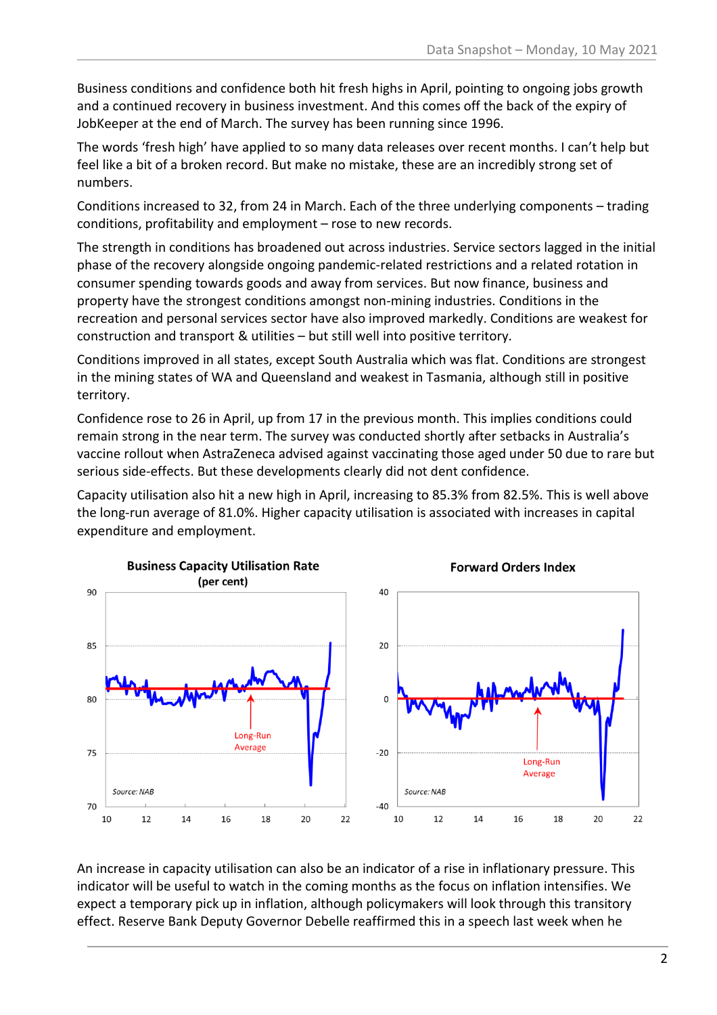Business conditions and confidence both hit fresh highs in April, pointing to ongoing jobs growth and a continued recovery in business investment. And this comes off the back of the expiry of JobKeeper at the end of March. The survey has been running since 1996.

The words 'fresh high' have applied to so many data releases over recent months. I can't help but feel like a bit of a broken record. But make no mistake, these are an incredibly strong set of numbers.

Conditions increased to 32, from 24 in March. Each of the three underlying components – trading conditions, profitability and employment – rose to new records.

The strength in conditions has broadened out across industries. Service sectors lagged in the initial phase of the recovery alongside ongoing pandemic-related restrictions and a related rotation in consumer spending towards goods and away from services. But now finance, business and property have the strongest conditions amongst non-mining industries. Conditions in the recreation and personal services sector have also improved markedly. Conditions are weakest for construction and transport & utilities – but still well into positive territory.

Conditions improved in all states, except South Australia which was flat. Conditions are strongest in the mining states of WA and Queensland and weakest in Tasmania, although still in positive territory.

Confidence rose to 26 in April, up from 17 in the previous month. This implies conditions could remain strong in the near term. The survey was conducted shortly after setbacks in Australia's vaccine rollout when AstraZeneca advised against vaccinating those aged under 50 due to rare but serious side-effects. But these developments clearly did not dent confidence.

Capacity utilisation also hit a new high in April, increasing to 85.3% from 82.5%. This is well above the long-run average of 81.0%. Higher capacity utilisation is associated with increases in capital expenditure and employment.



An increase in capacity utilisation can also be an indicator of a rise in inflationary pressure. This indicator will be useful to watch in the coming months as the focus on inflation intensifies. We expect a temporary pick up in inflation, although policymakers will look through this transitory effect. Reserve Bank Deputy Governor Debelle reaffirmed this in a speech last week when he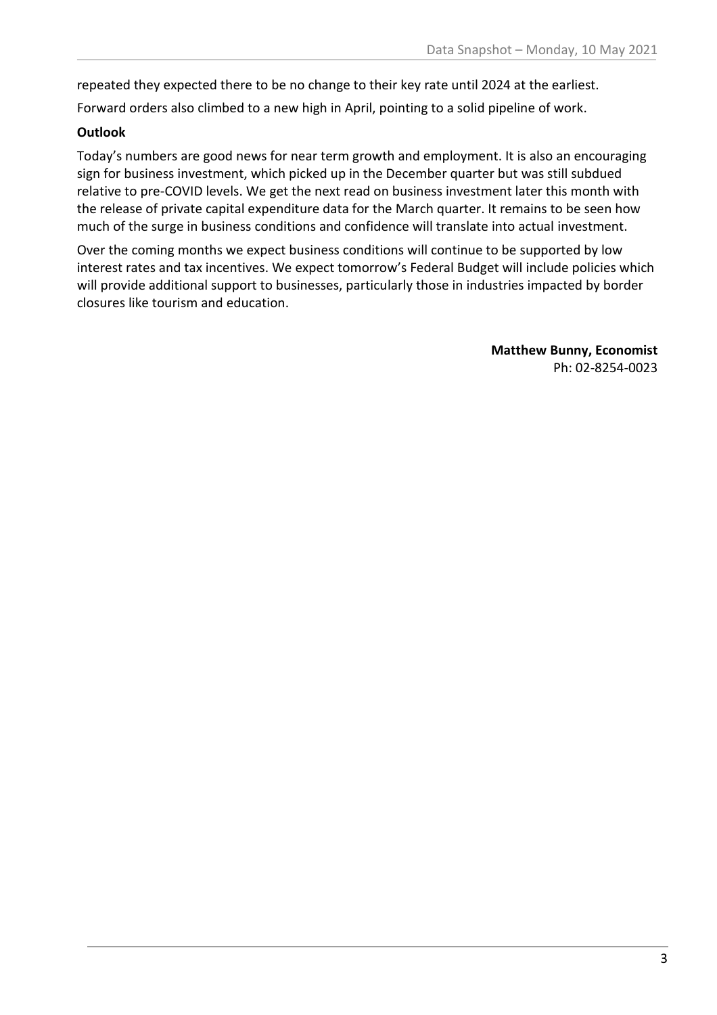repeated they expected there to be no change to their key rate until 2024 at the earliest.

Forward orders also climbed to a new high in April, pointing to a solid pipeline of work.

## **Outlook**

Today's numbers are good news for near term growth and employment. It is also an encouraging sign for business investment, which picked up in the December quarter but was still subdued relative to pre-COVID levels. We get the next read on business investment later this month with the release of private capital expenditure data for the March quarter. It remains to be seen how much of the surge in business conditions and confidence will translate into actual investment.

Over the coming months we expect business conditions will continue to be supported by low interest rates and tax incentives. We expect tomorrow's Federal Budget will include policies which will provide additional support to businesses, particularly those in industries impacted by border closures like tourism and education.

> **Matthew Bunny, Economist** Ph: 02-8254-0023